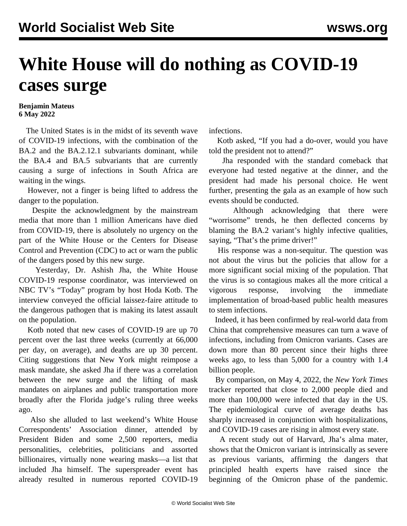## **White House will do nothing as COVID-19 cases surge**

## **Benjamin Mateus 6 May 2022**

 The United States is in the midst of its seventh wave of COVID-19 infections, with the combination of the BA.2 and the BA.2.12.1 subvariants dominant, while the BA.4 and BA.5 subvariants that are currently causing a surge of infections in South Africa are waiting in the wings.

 However, not a finger is being lifted to address the danger to the population.

 Despite the acknowledgment by the mainstream media that more than 1 million Americans have died from COVID-19, there is absolutely no urgency on the part of the White House or the Centers for Disease Control and Prevention (CDC) to act or warn the public of the dangers posed by this new surge.

 Yesterday, Dr. Ashish Jha, the White House COVID-19 response coordinator, was interviewed on NBC TV's "Today" program by host Hoda Kotb. The interview conveyed the official laissez-faire attitude to the dangerous pathogen that is making its latest assault on the population.

 Kotb noted that new cases of COVID-19 are up 70 percent over the last three weeks (currently at 66,000 per day, on average), and deaths are up 30 percent. Citing suggestions that New York might reimpose a mask mandate, she asked Jha if there was a correlation between the new surge and the lifting of mask mandates on airplanes and public transportation more broadly after the Florida judge's ruling three weeks ago.

 Also she alluded to last weekend's White House Correspondents' Association dinner, attended by President Biden and some 2,500 reporters, media personalities, celebrities, politicians and assorted billionaires, virtually none wearing masks—a list that included Jha himself. The superspreader event has already resulted in numerous reported COVID-19

infections.

 Kotb asked, "If you had a do-over, would you have told the president not to attend?"

 Jha responded with the standard comeback that everyone had tested negative at the dinner, and the president had made his personal choice. He went further, presenting the gala as an example of how such events should be conducted.

 Although acknowledging that there were "worrisome" trends, he then deflected concerns by blaming the BA.2 variant's highly infective qualities, saying, "That's the prime driver!"

 His response was a non-sequitur. The question was not about the virus but the policies that allow for a more significant social mixing of the population. That the virus is so contagious makes all the more critical a vigorous response, involving the immediate implementation of broad-based public health measures to stem infections.

 Indeed, it has been confirmed by real-world data from China that comprehensive measures can turn a wave of infections, including from Omicron variants. Cases are down more than 80 percent since their highs three weeks ago, to less than 5,000 for a country with 1.4 billion people.

 By comparison, on May 4, 2022, the *New York Times* tracker reported that close to 2,000 people died and more than 100,000 were infected that day in the US. The epidemiological curve of average deaths has sharply increased in conjunction with hospitalizations, and COVID-19 cases are rising in almost every state.

 A recent study out of Harvard, Jha's alma mater, shows that the Omicron variant is intrinsically as severe as previous variants, affirming the dangers that principled health experts have raised since the beginning of the Omicron phase of the pandemic.